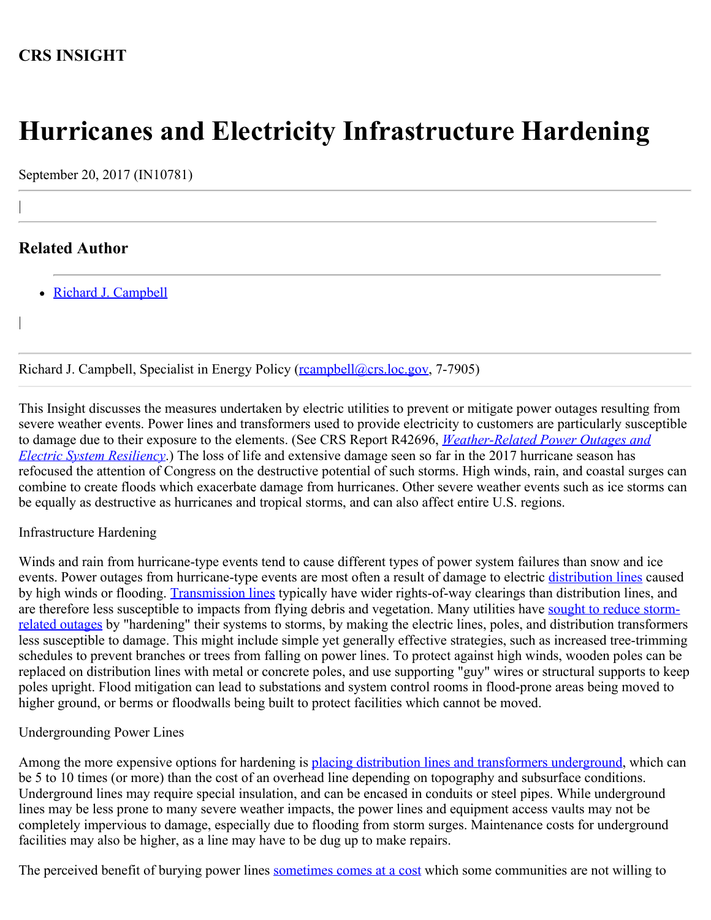## **CRS INSIGHT**

# **Hurricanes and Electricity Infrastructure Hardening**

September 20, 2017 (IN10781)

## **Related Author**

|

|

• [Richard J. Campbell](http://www.crs.gov/Author/index?id=101295)

Richard J. Campbell, Specialist in Energy Policy (reampbell@crs.loc.gov, 7-7905)

This Insight discusses the measures undertaken by electric utilities to prevent or mitigate power outages resulting from severe weather events. Power lines and transformers used to provide electricity to customers are particularly susceptible to damage due to their exposure to the elements. (See CRS Report R42696, *[Weather-Related Power Outages and](https://fas.org/sgp/crs/misc/R42696.pdf) [Electric System Resiliency](https://fas.org/sgp/crs/misc/R42696.pdf)*.) The loss of life and extensive damage seen so far in the 2017 hurricane season has refocused the attention of Congress on the destructive potential of such storms. High winds, rain, and coastal surges can combine to create floods which exacerbate damage from hurricanes. Other severe weather events such as ice storms can be equally as destructive as hurricanes and tropical storms, and can also affect entire U.S. regions.

### Infrastructure Hardening

Winds and rain from hurricane-type events tend to cause different types of power system failures than snow and ice events. Power outages from hurricane-type events are most often a result of damage to electric [distribution lines](https://www.osha.gov/SLTC/etools/electric_power/illustrated_glossary/distribution_system.html) caused by high winds or flooding. [Transmission lines](https://www.osha.gov/SLTC/etools/electric_power/illustrated_glossary/transmission_lines.html) typically have wider rights-of-way clearings than distribution lines, and are therefore less susceptible to impacts from flying debris and vegetation. Many utilities have [sought to reduce storm](https://energy.gov/sites/prod/files/2013/08/f2/Grid%20Resiliency%20Report_FINAL.pdf)[related outages](https://energy.gov/sites/prod/files/2013/08/f2/Grid%20Resiliency%20Report_FINAL.pdf) by "hardening" their systems to storms, by making the electric lines, poles, and distribution transformers less susceptible to damage. This might include simple yet generally effective strategies, such as increased tree-trimming schedules to prevent branches or trees from falling on power lines. To protect against high winds, wooden poles can be replaced on distribution lines with metal or concrete poles, and use supporting "guy" wires or structural supports to keep poles upright. Flood mitigation can lead to substations and system control rooms in flood-prone areas being moved to higher ground, or berms or floodwalls being built to protect facilities which cannot be moved.

### Undergrounding Power Lines

Among the more expensive options for hardening is [placing distribution lines and transformers underground](http://www.elp.com/articles/powergrid_international/print/volume-18/issue-2/features/underground-vs-overhead-power-line-installation-cost-comparison-.html), which can be 5 to 10 times (or more) than the cost of an overhead line depending on topography and subsurface conditions. Underground lines may require special insulation, and can be encased in conduits or steel pipes. While underground lines may be less prone to many severe weather impacts, the power lines and equipment access vaults may not be completely impervious to damage, especially due to flooding from storm surges. Maintenance costs for underground facilities may also be higher, as a line may have to be dug up to make repairs.

The perceived benefit of burying power lines [sometimes comes at a cost](http://articles.sun-sentinel.com/2011-06-25/business/fl-fpl-underground-lines-20110624_1_power-lines-utility-lines-tamara-tennant) which some communities are not willing to